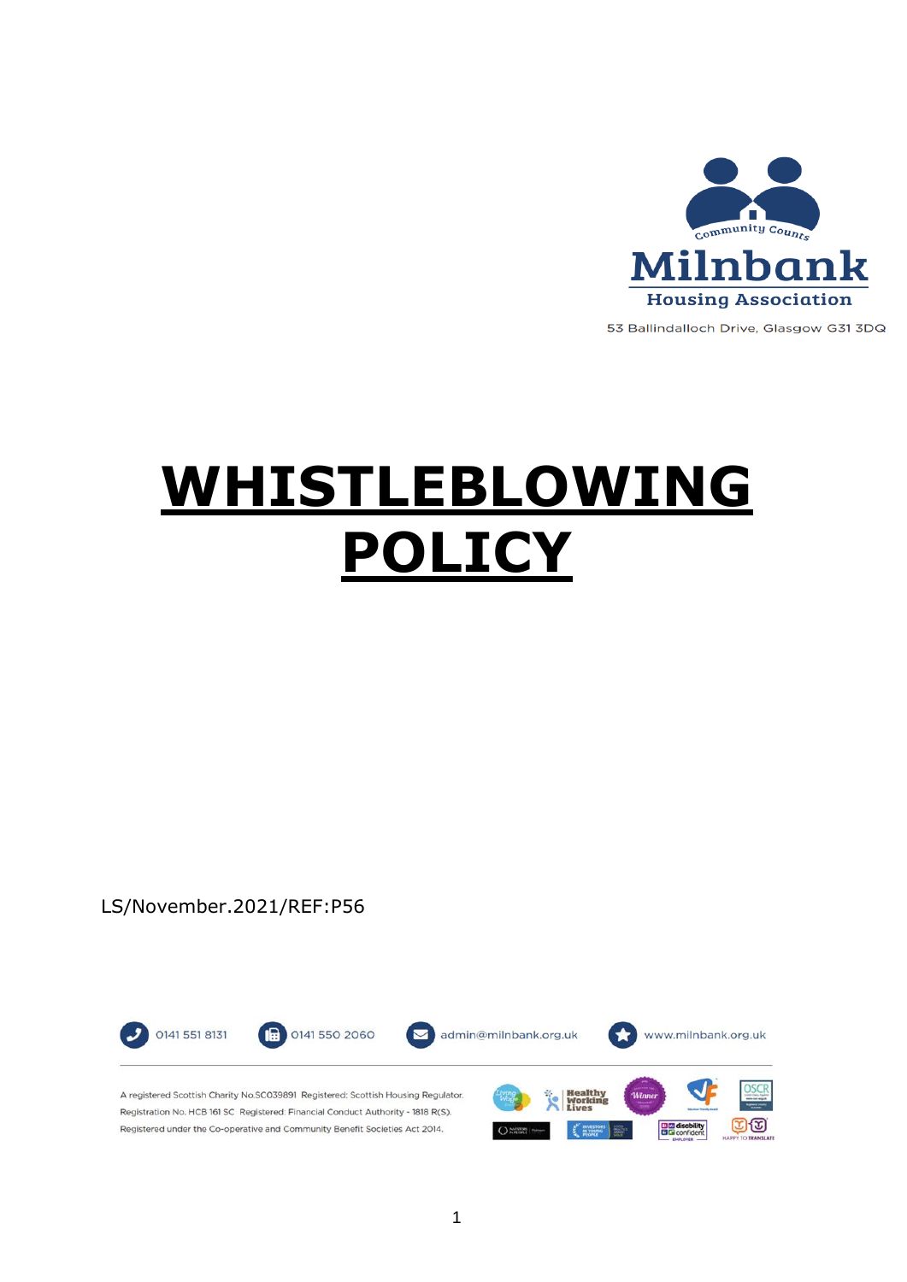

53 Ballindalloch Drive, Glasgow G31 3DQ

# **WHISTLEBLOWING POLICY**

LS/November.2021/REF:P56

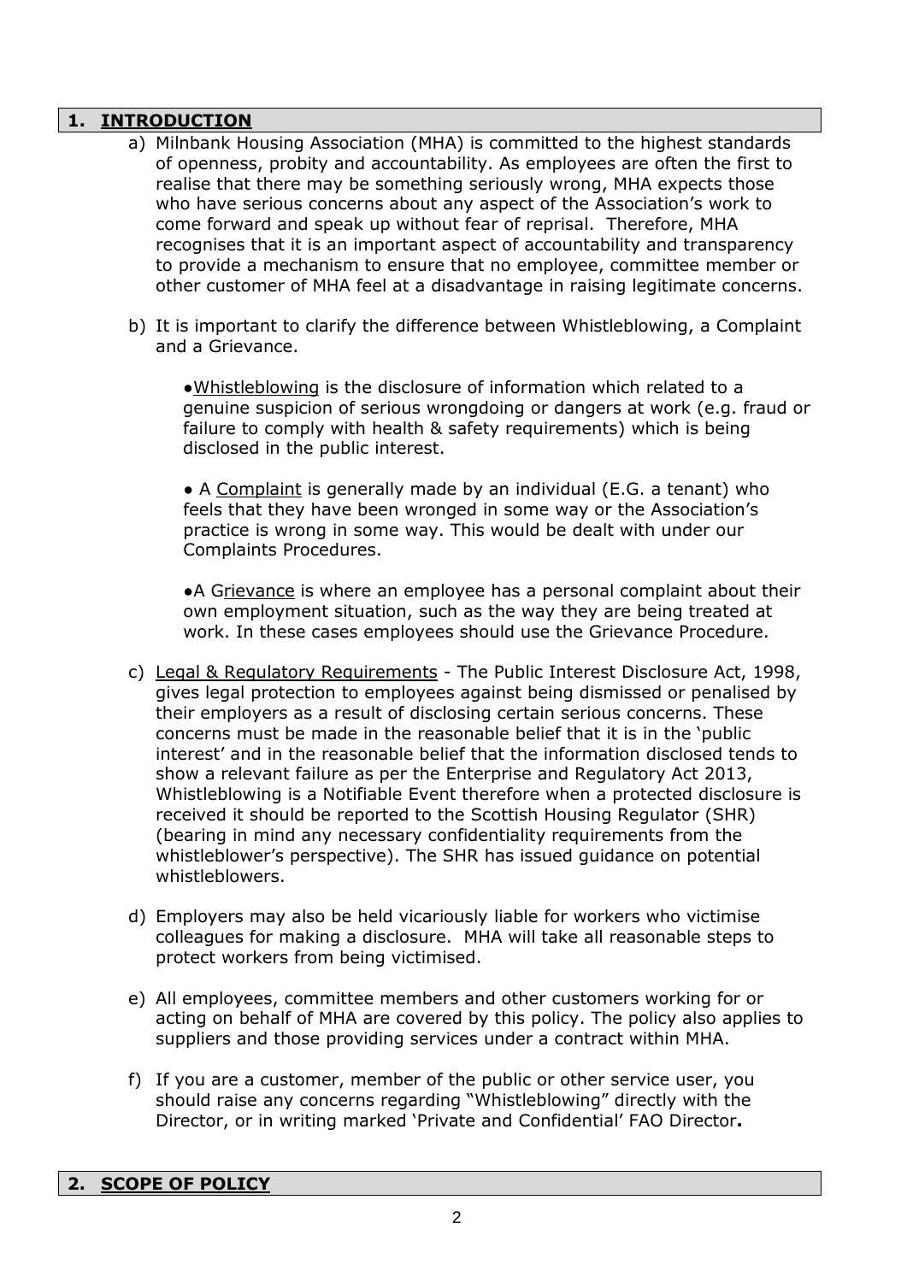### **1. INTRODUCTION**

- a) Milnbank Housing Association (MHA) is committed to the highest standards of openness, probity and accountability. As employees are often the first to realise that there may be something seriously wrong, MHA expects those who have serious concerns about any aspect of the Association's work to come forward and speak up without fear of reprisal. Therefore, MHA recognises that it is an important aspect of accountability and transparency to provide a mechanism to ensure that no employee, committee member or other customer of MHA feel at a disadvantage in raising legitimate concerns.
- b) It is important to clarify the difference between Whistleblowing, a Complaint and a Grievance.

●Whistleblowing is the disclosure of information which related to a genuine suspicion of serious wrongdoing or dangers at work (e.g. fraud or failure to comply with health & safety requirements) which is being disclosed in the public interest.

• A Complaint is generally made by an individual (E.G. a tenant) who feels that they have been wronged in some way or the Association's practice is wrong in some way. This would be dealt with under our Complaints Procedures.

• A Grievance is where an employee has a personal complaint about their own employment situation, such as the way they are being treated at work. In these cases employees should use the Grievance Procedure.

- c) Legal & Regulatory Requirements The Public Interest Disclosure Act, 1998, gives legal protection to employees against being dismissed or penalised by their employers as a result of disclosing certain serious concerns. These concerns must be made in the reasonable belief that it is in the 'public interest' and in the reasonable belief that the information disclosed tends to show a relevant failure as per the Enterprise and Regulatory Act 2013, Whistleblowing is a Notifiable Event therefore when a protected disclosure is received it should be reported to the Scottish Housing Regulator (SHR) (bearing in mind any necessary confidentiality requirements from the whistleblower's perspective). The SHR has issued guidance on potential whistleblowers.
- d) Employers may also be held vicariously liable for workers who victimise colleagues for making a disclosure. MHA will take all reasonable steps to protect workers from being victimised.
- e) All employees, committee members and other customers working for or acting on behalf of MHA are covered by this policy. The policy also applies to suppliers and those providing services under a contract within MHA.
- f) If you are a customer, member of the public or other service user, you should raise any concerns regarding "Whistleblowing" directly with the Director, or in writing marked 'Private and Confidential' FAO Director**.**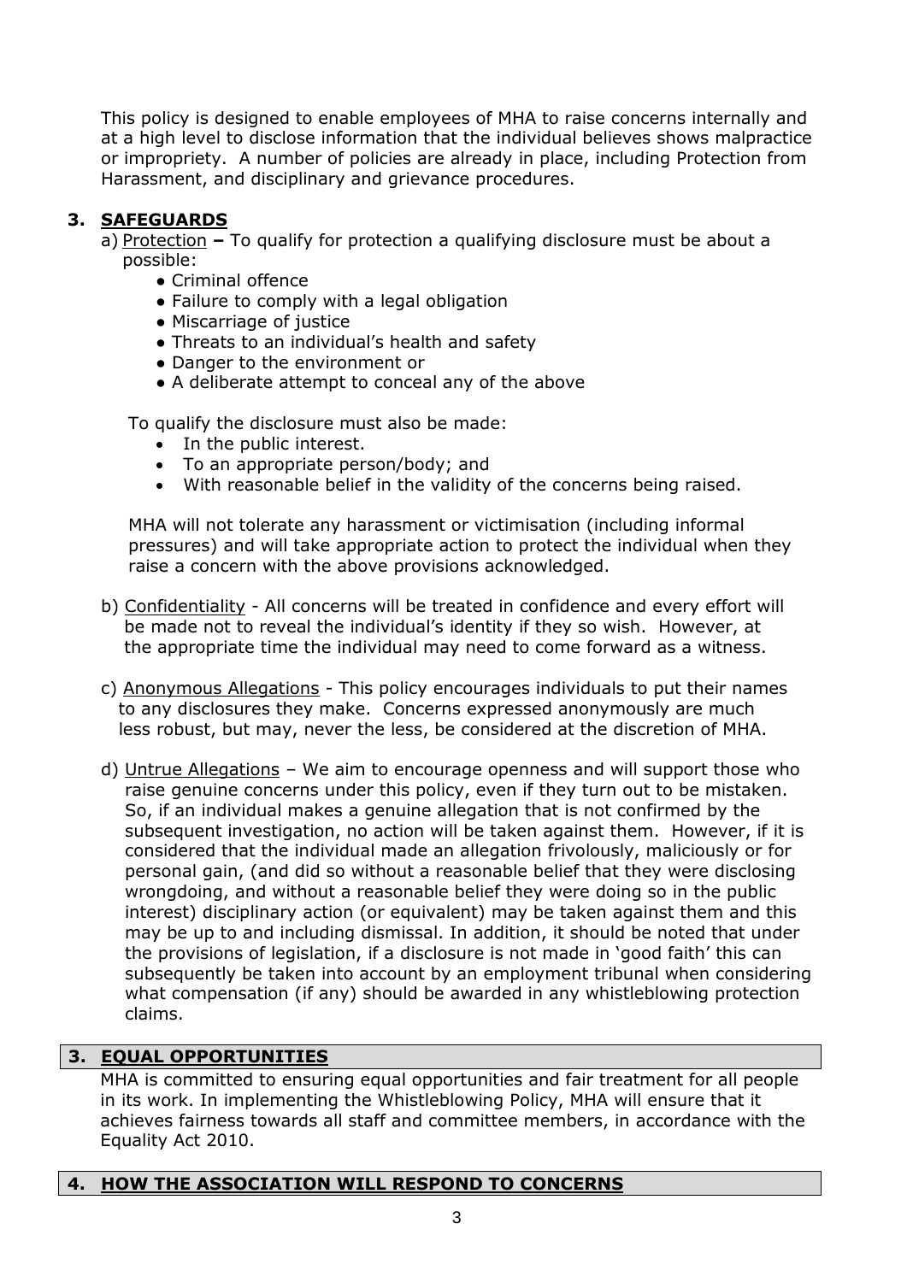This policy is designed to enable employees of MHA to raise concerns internally and at a high level to disclose information that the individual believes shows malpractice or impropriety. A number of policies are already in place, including Protection from Harassment, and disciplinary and grievance procedures.

# **3. SAFEGUARDS**

a) Protection **–** To qualify for protection a qualifying disclosure must be about a possible:

- Criminal offence
- Failure to comply with a legal obligation
- Miscarriage of justice
- Threats to an individual's health and safety
- Danger to the environment or
- A deliberate attempt to conceal any of the above

To qualify the disclosure must also be made:

- In the public interest.
- To an appropriate person/body; and
- With reasonable belief in the validity of the concerns being raised.

MHA will not tolerate any harassment or victimisation (including informal pressures) and will take appropriate action to protect the individual when they raise a concern with the above provisions acknowledged.

- b) Confidentiality All concerns will be treated in confidence and every effort will be made not to reveal the individual's identity if they so wish. However, at the appropriate time the individual may need to come forward as a witness.
- c) Anonymous Allegations This policy encourages individuals to put their names to any disclosures they make. Concerns expressed anonymously are much less robust, but may, never the less, be considered at the discretion of MHA.
- d) Untrue Allegations We aim to encourage openness and will support those who raise genuine concerns under this policy, even if they turn out to be mistaken. So, if an individual makes a genuine allegation that is not confirmed by the subsequent investigation, no action will be taken against them. However, if it is considered that the individual made an allegation frivolously, maliciously or for personal gain, (and did so without a reasonable belief that they were disclosing wrongdoing, and without a reasonable belief they were doing so in the public interest) disciplinary action (or equivalent) may be taken against them and this may be up to and including dismissal. In addition, it should be noted that under the provisions of legislation, if a disclosure is not made in 'good faith' this can subsequently be taken into account by an employment tribunal when considering what compensation (if any) should be awarded in any whistleblowing protection claims.

### **3. EQUAL OPPORTUNITIES**

MHA is committed to ensuring equal opportunities and fair treatment for all people in its work. In implementing the Whistleblowing Policy, MHA will ensure that it achieves fairness towards all staff and committee members, in accordance with the Equality Act 2010.

### **4. HOW THE ASSOCIATION WILL RESPOND TO CONCERNS**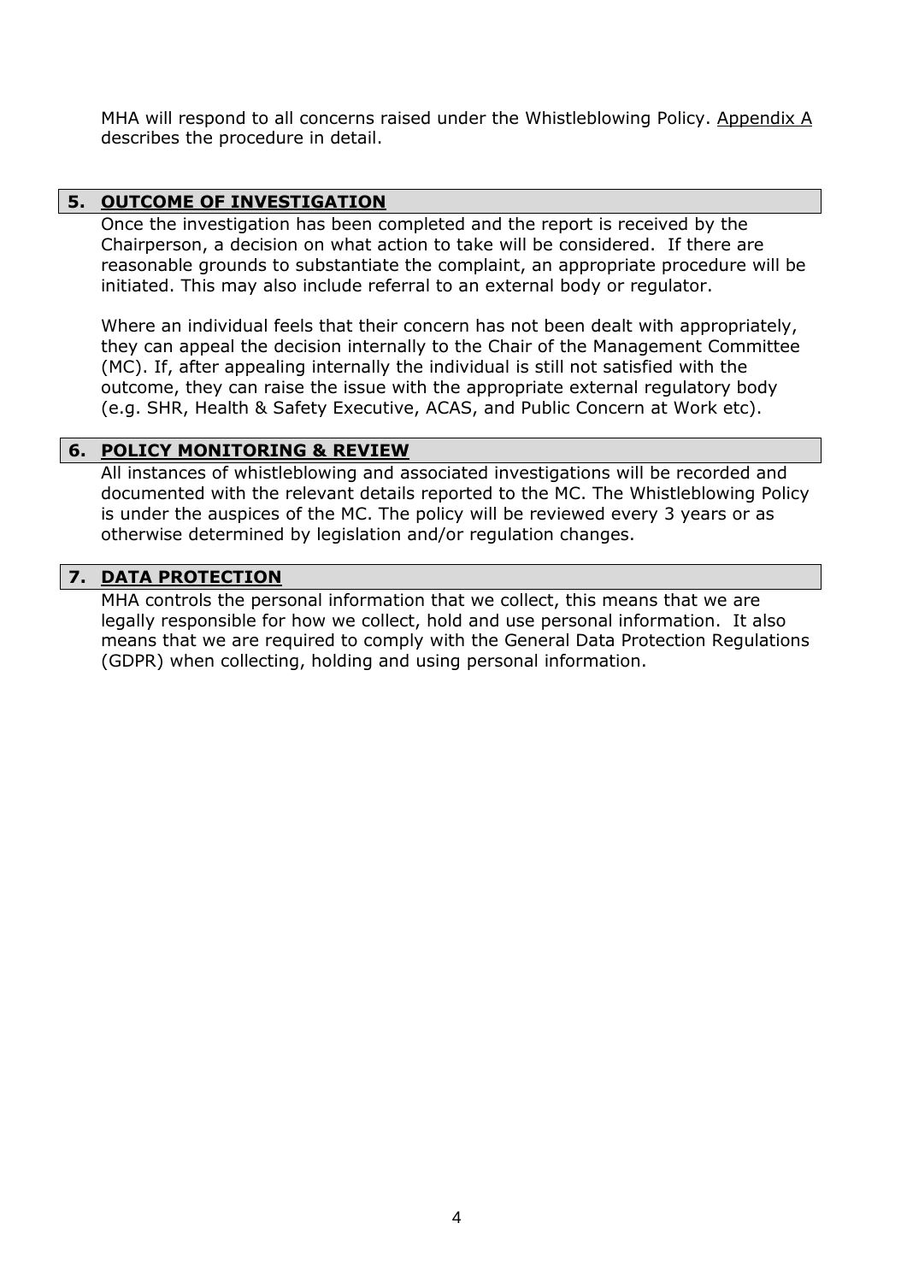MHA will respond to all concerns raised under the Whistleblowing Policy. Appendix A describes the procedure in detail.

#### **5. OUTCOME OF INVESTIGATION**

Once the investigation has been completed and the report is received by the Chairperson, a decision on what action to take will be considered. If there are reasonable grounds to substantiate the complaint, an appropriate procedure will be initiated. This may also include referral to an external body or regulator.

Where an individual feels that their concern has not been dealt with appropriately, they can appeal the decision internally to the Chair of the Management Committee (MC). If, after appealing internally the individual is still not satisfied with the outcome, they can raise the issue with the appropriate external regulatory body (e.g. SHR, Health & Safety Executive, ACAS, and Public Concern at Work etc).

### **6. POLICY MONITORING & REVIEW**

All instances of whistleblowing and associated investigations will be recorded and documented with the relevant details reported to the MC. The Whistleblowing Policy is under the auspices of the MC. The policy will be reviewed every 3 years or as otherwise determined by legislation and/or regulation changes.

### **7. DATA PROTECTION**

MHA controls the personal information that we collect, this means that we are legally responsible for how we collect, hold and use personal information. It also means that we are required to comply with the General Data Protection Regulations (GDPR) when collecting, holding and using personal information.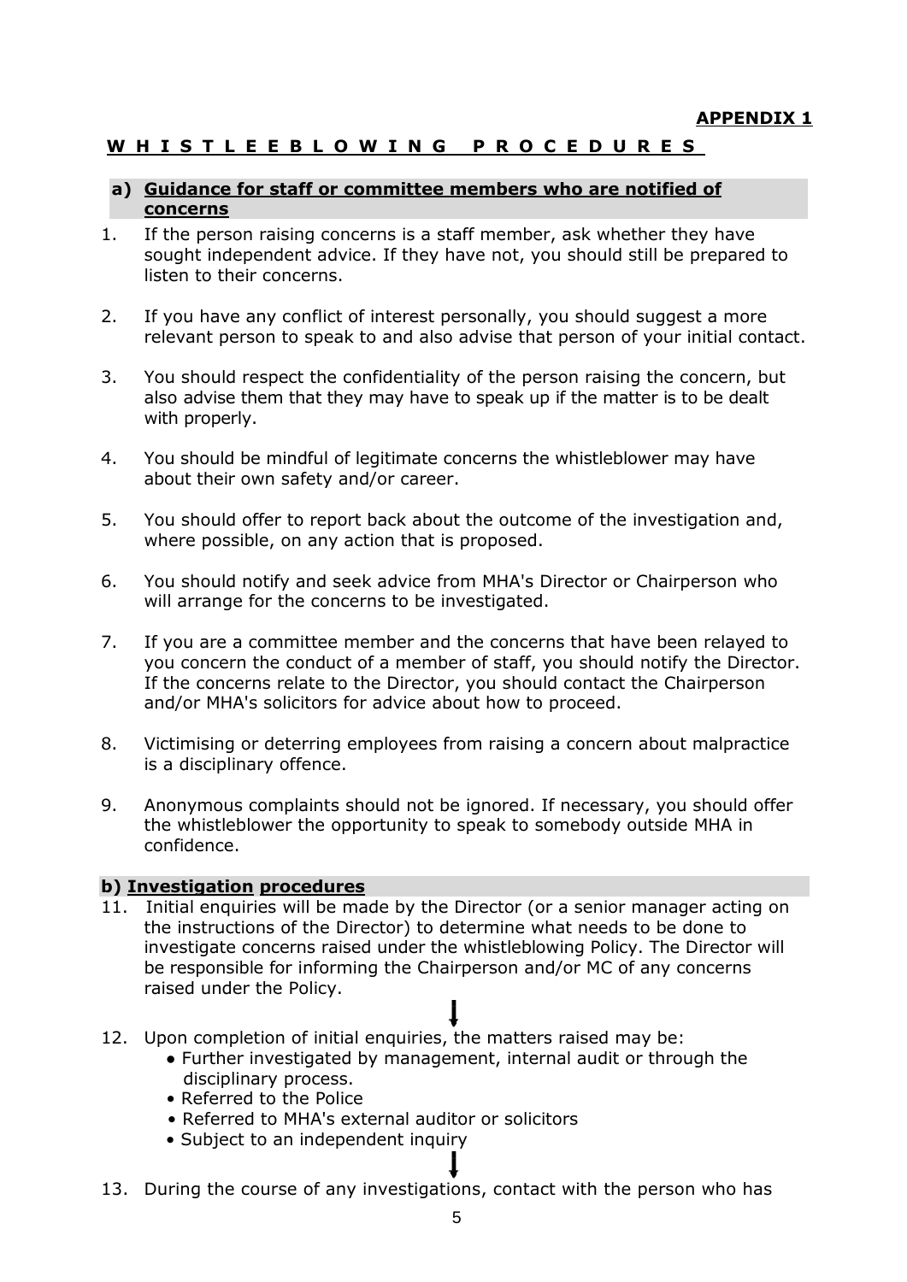# **W H I S T L E E B L O W I N G P R O C E D U R E S**

#### **a) Guidance for staff or committee members who are notified of concerns**

- 1. If the person raising concerns is a staff member, ask whether they have sought independent advice. If they have not, you should still be prepared to listen to their concerns.
- 2. If you have any conflict of interest personally, you should suggest a more relevant person to speak to and also advise that person of your initial contact.
- 3. You should respect the confidentiality of the person raising the concern, but also advise them that they may have to speak up if the matter is to be dealt with properly.
- 4. You should be mindful of legitimate concerns the whistleblower may have about their own safety and/or career.
- 5. You should offer to report back about the outcome of the investigation and, where possible, on any action that is proposed.
- 6. You should notify and seek advice from MHA's Director or Chairperson who will arrange for the concerns to be investigated.
- 7. If you are a committee member and the concerns that have been relayed to you concern the conduct of a member of staff, you should notify the Director. If the concerns relate to the Director, you should contact the Chairperson and/or MHA's solicitors for advice about how to proceed.
- 8. Victimising or deterring employees from raising a concern about malpractice is a disciplinary offence.
- 9. Anonymous complaints should not be ignored. If necessary, you should offer the whistleblower the opportunity to speak to somebody outside MHA in confidence.

### **b) Investigation procedures**

- 11. Initial enquiries will be made by the Director (or a senior manager acting on the instructions of the Director) to determine what needs to be done to investigate concerns raised under the whistleblowing Policy. The Director will be responsible for informing the Chairperson and/or MC of any concerns raised under the Policy.
- 12. Upon completion of initial enquiries, the matters raised may be:
	- Further investigated by management, internal audit or through the disciplinary process.
	- Referred to the Police
	- Referred to MHA's external auditor or solicitors
	- Subject to an independent inquiry
- 13. During the course of any investigations, contact with the person who has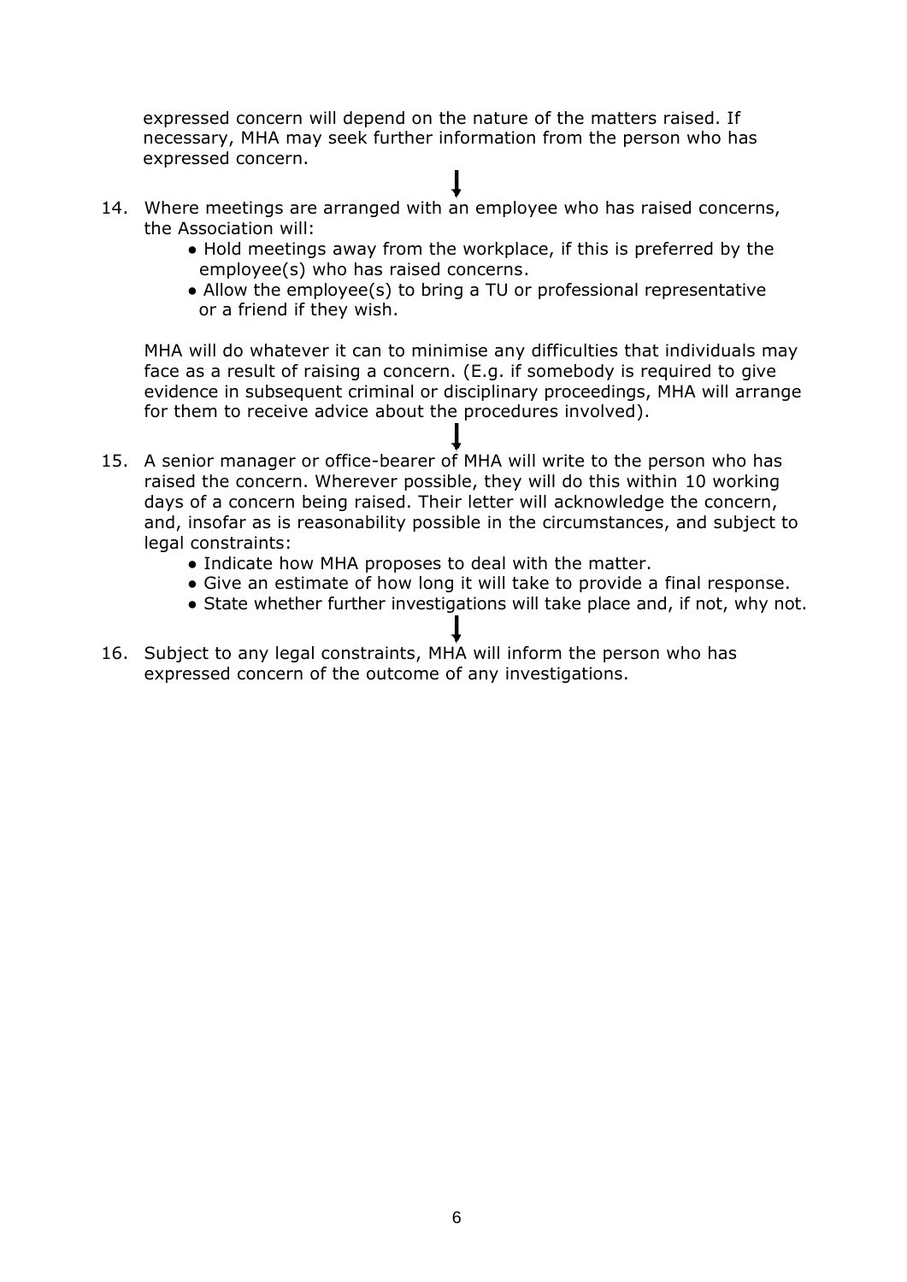expressed concern will depend on the nature of the matters raised. If necessary, MHA may seek further information from the person who has expressed concern.

- 14. Where meetings are arranged with an employee who has raised concerns, the Association will:
	- Hold meetings away from the workplace, if this is preferred by the employee(s) who has raised concerns.
	- Allow the employee(s) to bring a TU or professional representative or a friend if they wish.

MHA will do whatever it can to minimise any difficulties that individuals may face as a result of raising a concern. (E.g. if somebody is required to give evidence in subsequent criminal or disciplinary proceedings, MHA will arrange for them to receive advice about the procedures involved).

- 15. A senior manager or office-bearer of MHA will write to the person who has raised the concern. Wherever possible, they will do this within 10 working days of a concern being raised. Their letter will acknowledge the concern, and, insofar as is reasonability possible in the circumstances, and subject to legal constraints:
	- Indicate how MHA proposes to deal with the matter.
	- Give an estimate of how long it will take to provide a final response.
	- State whether further investigations will take place and, if not, why not.
- 16. Subject to any legal constraints, MHA will inform the person who has expressed concern of the outcome of any investigations.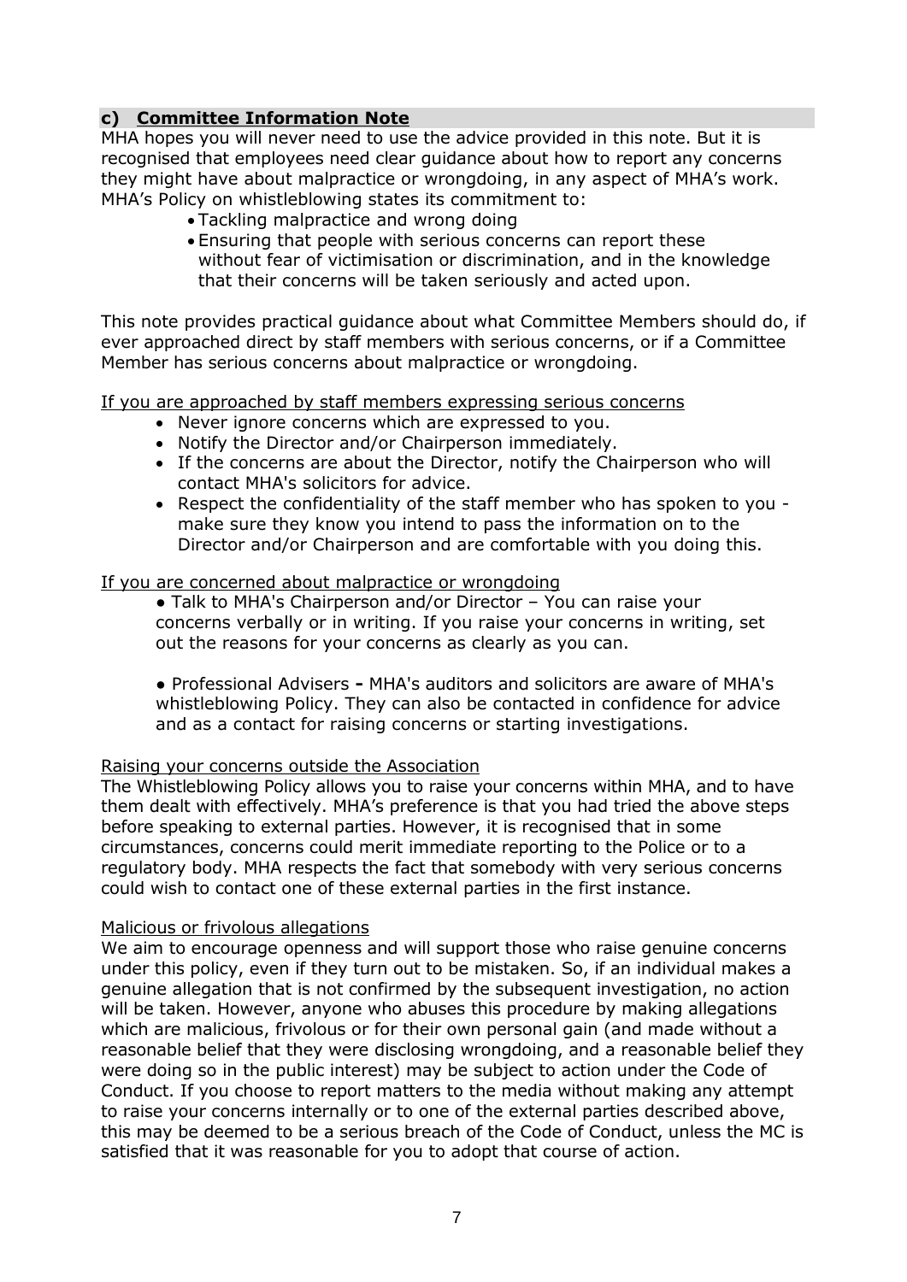# **c) Committee Information Note**

MHA hopes you will never need to use the advice provided in this note. But it is recognised that employees need clear guidance about how to report any concerns they might have about malpractice or wrongdoing, in any aspect of MHA's work. MHA's Policy on whistleblowing states its commitment to:

- Tackling malpractice and wrong doing
- Ensuring that people with serious concerns can report these without fear of victimisation or discrimination, and in the knowledge that their concerns will be taken seriously and acted upon.

This note provides practical guidance about what Committee Members should do, if ever approached direct by staff members with serious concerns, or if a Committee Member has serious concerns about malpractice or wrongdoing.

If you are approached by staff members expressing serious concerns

- Never ignore concerns which are expressed to you.
- Notify the Director and/or Chairperson immediately.
- If the concerns are about the Director, notify the Chairperson who will contact MHA's solicitors for advice.
- Respect the confidentiality of the staff member who has spoken to you make sure they know you intend to pass the information on to the Director and/or Chairperson and are comfortable with you doing this.

#### If you are concerned about malpractice or wrongdoing

● Talk to MHA's Chairperson and/or Director – You can raise your concerns verbally or in writing. If you raise your concerns in writing, set out the reasons for your concerns as clearly as you can.

**●** Professional Advisers **-** MHA's auditors and solicitors are aware of MHA's whistleblowing Policy. They can also be contacted in confidence for advice and as a contact for raising concerns or starting investigations.

#### Raising your concerns outside the Association

The Whistleblowing Policy allows you to raise your concerns within MHA, and to have them dealt with effectively. MHA's preference is that you had tried the above steps before speaking to external parties. However, it is recognised that in some circumstances, concerns could merit immediate reporting to the Police or to a regulatory body. MHA respects the fact that somebody with very serious concerns could wish to contact one of these external parties in the first instance.

#### Malicious or frivolous allegations

We aim to encourage openness and will support those who raise genuine concerns under this policy, even if they turn out to be mistaken. So, if an individual makes a genuine allegation that is not confirmed by the subsequent investigation, no action will be taken. However, anyone who abuses this procedure by making allegations which are malicious, frivolous or for their own personal gain (and made without a reasonable belief that they were disclosing wrongdoing, and a reasonable belief they were doing so in the public interest) may be subject to action under the Code of Conduct. If you choose to report matters to the media without making any attempt to raise your concerns internally or to one of the external parties described above, this may be deemed to be a serious breach of the Code of Conduct, unless the MC is satisfied that it was reasonable for you to adopt that course of action.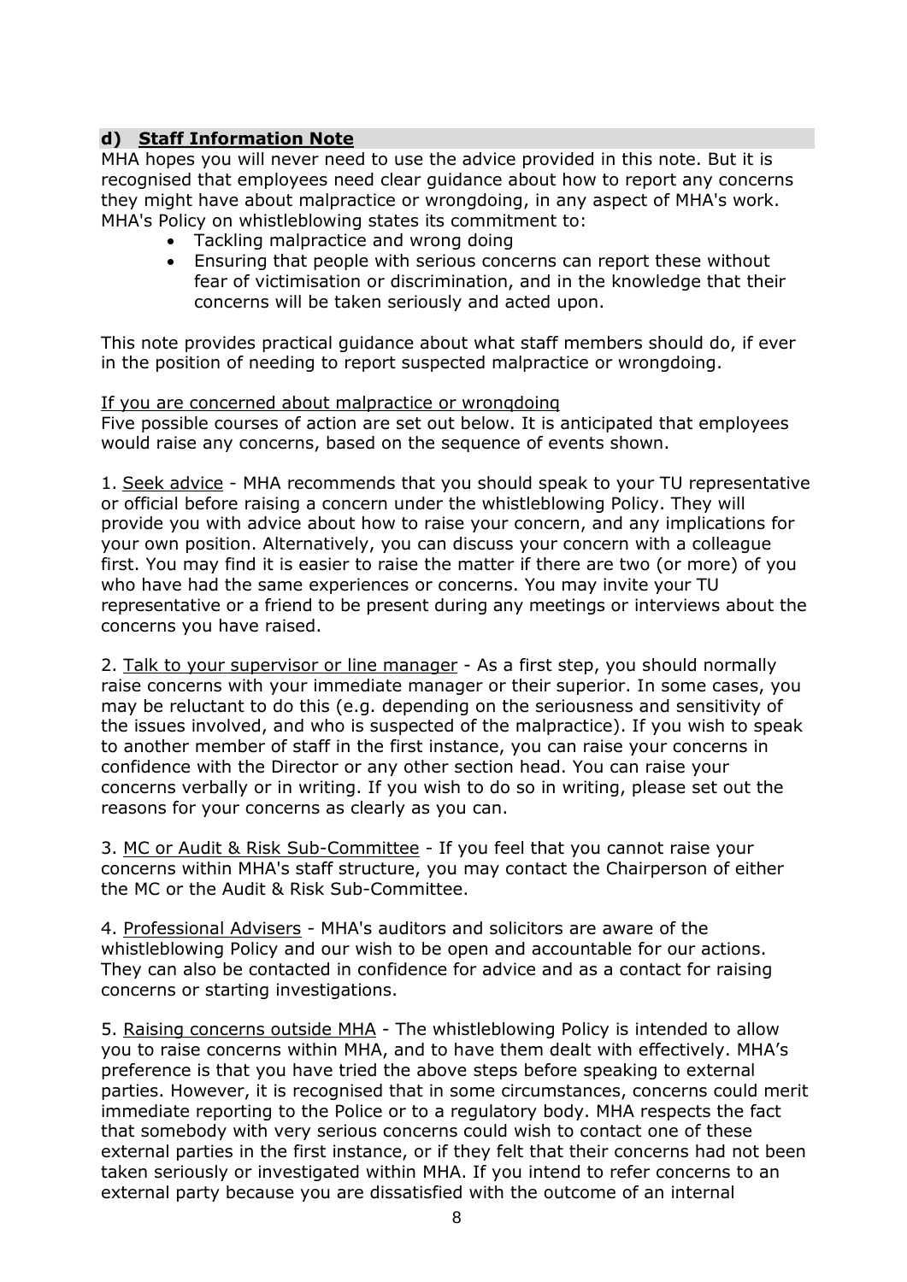## **d) Staff Information Note**

MHA hopes you will never need to use the advice provided in this note. But it is recognised that employees need clear guidance about how to report any concerns they might have about malpractice or wrongdoing, in any aspect of MHA's work. MHA's Policy on whistleblowing states its commitment to:

- Tackling malpractice and wrong doing
- Ensuring that people with serious concerns can report these without fear of victimisation or discrimination, and in the knowledge that their concerns will be taken seriously and acted upon.

This note provides practical guidance about what staff members should do, if ever in the position of needing to report suspected malpractice or wrongdoing.

#### If you are concerned about malpractice or wrongdoing

Five possible courses of action are set out below. It is anticipated that employees would raise any concerns, based on the sequence of events shown.

1. Seek advice - MHA recommends that you should speak to your TU representative or official before raising a concern under the whistleblowing Policy. They will provide you with advice about how to raise your concern, and any implications for your own position. Alternatively, you can discuss your concern with a colleague first. You may find it is easier to raise the matter if there are two (or more) of you who have had the same experiences or concerns. You may invite your TU representative or a friend to be present during any meetings or interviews about the concerns you have raised.

2. Talk to your supervisor or line manager - As a first step, you should normally raise concerns with your immediate manager or their superior. In some cases, you may be reluctant to do this (e.g. depending on the seriousness and sensitivity of the issues involved, and who is suspected of the malpractice). If you wish to speak to another member of staff in the first instance, you can raise your concerns in confidence with the Director or any other section head. You can raise your concerns verbally or in writing. If you wish to do so in writing, please set out the reasons for your concerns as clearly as you can.

3. MC or Audit & Risk Sub-Committee - If you feel that you cannot raise your concerns within MHA's staff structure, you may contact the Chairperson of either the MC or the Audit & Risk Sub-Committee.

4. Professional Advisers - MHA's auditors and solicitors are aware of the whistleblowing Policy and our wish to be open and accountable for our actions. They can also be contacted in confidence for advice and as a contact for raising concerns or starting investigations.

5. Raising concerns outside MHA - The whistleblowing Policy is intended to allow you to raise concerns within MHA, and to have them dealt with effectively. MHA's preference is that you have tried the above steps before speaking to external parties. However, it is recognised that in some circumstances, concerns could merit immediate reporting to the Police or to a regulatory body. MHA respects the fact that somebody with very serious concerns could wish to contact one of these external parties in the first instance, or if they felt that their concerns had not been taken seriously or investigated within MHA. If you intend to refer concerns to an external party because you are dissatisfied with the outcome of an internal